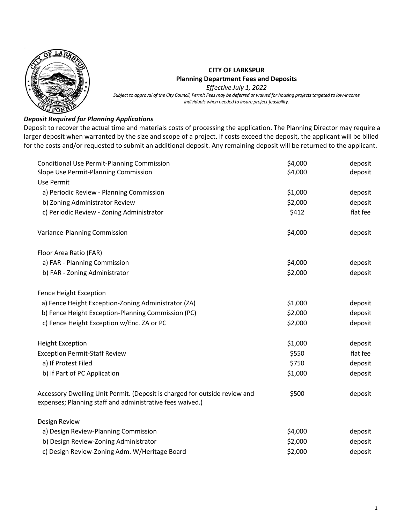

## **CITY OF LARKSPUR Planning Department Fees and Deposits**

*Effective July 1, 2022*

*Subject to approval of the City Council, Permit Fees may be deferred or waived for housing projects targeted to low-income individuals when needed to insure project feasibility.*

## *Deposit Required for Planning Applications*

Deposit to recover the actual time and materials costs of processing the application. The Planning Director may require a larger deposit when warranted by the size and scope of a project. If costs exceed the deposit, the applicant will be billed for the costs and/or requested to submit an additional deposit. Any remaining deposit will be returned to the applicant.

| <b>Conditional Use Permit-Planning Commission</b>                                                                                       | \$4,000 | deposit  |
|-----------------------------------------------------------------------------------------------------------------------------------------|---------|----------|
| Slope Use Permit-Planning Commission                                                                                                    | \$4,000 | deposit  |
| <b>Use Permit</b>                                                                                                                       |         |          |
| a) Periodic Review - Planning Commission                                                                                                | \$1,000 | deposit  |
| b) Zoning Administrator Review                                                                                                          | \$2,000 | deposit  |
| c) Periodic Review - Zoning Administrator                                                                                               | \$412   | flat fee |
| Variance-Planning Commission                                                                                                            | \$4,000 | deposit  |
| Floor Area Ratio (FAR)                                                                                                                  |         |          |
| a) FAR - Planning Commission                                                                                                            | \$4,000 | deposit  |
| b) FAR - Zoning Administrator                                                                                                           | \$2,000 | deposit  |
| Fence Height Exception                                                                                                                  |         |          |
| a) Fence Height Exception-Zoning Administrator (ZA)                                                                                     | \$1,000 | deposit  |
| b) Fence Height Exception-Planning Commission (PC)                                                                                      | \$2,000 | deposit  |
| c) Fence Height Exception w/Enc. ZA or PC                                                                                               | \$2,000 | deposit  |
| <b>Height Exception</b>                                                                                                                 | \$1,000 | deposit  |
| <b>Exception Permit-Staff Review</b>                                                                                                    | \$550   | flat fee |
| a) If Protest Filed                                                                                                                     | \$750   | deposit  |
| b) If Part of PC Application                                                                                                            | \$1,000 | deposit  |
| Accessory Dwelling Unit Permit. (Deposit is charged for outside review and<br>expenses; Planning staff and administrative fees waived.) | \$500   | deposit  |
| Design Review                                                                                                                           |         |          |
| a) Design Review-Planning Commission                                                                                                    | \$4,000 | deposit  |
| b) Design Review-Zoning Administrator                                                                                                   | \$2,000 | deposit  |
| c) Design Review-Zoning Adm. W/Heritage Board                                                                                           | \$2,000 | deposit  |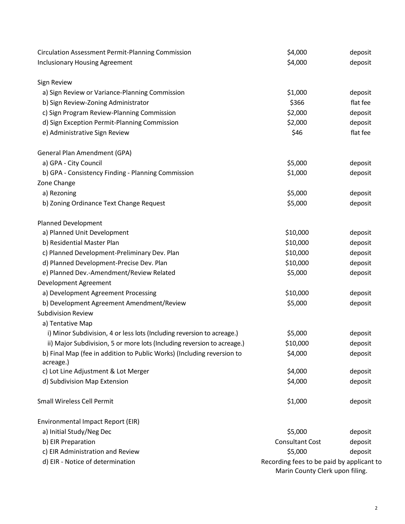| <b>Circulation Assessment Permit-Planning Commission</b>                | \$4,000                                   | deposit  |
|-------------------------------------------------------------------------|-------------------------------------------|----------|
| <b>Inclusionary Housing Agreement</b>                                   | \$4,000                                   | deposit  |
|                                                                         |                                           |          |
| <b>Sign Review</b>                                                      |                                           |          |
| a) Sign Review or Variance-Planning Commission                          | \$1,000                                   | deposit  |
| b) Sign Review-Zoning Administrator                                     | \$366                                     | flat fee |
| c) Sign Program Review-Planning Commission                              | \$2,000                                   | deposit  |
| d) Sign Exception Permit-Planning Commission                            | \$2,000                                   | deposit  |
| e) Administrative Sign Review                                           | \$46                                      | flat fee |
| General Plan Amendment (GPA)                                            |                                           |          |
| a) GPA - City Council                                                   | \$5,000                                   | deposit  |
| b) GPA - Consistency Finding - Planning Commission                      | \$1,000                                   | deposit  |
| Zone Change                                                             |                                           |          |
| a) Rezoning                                                             | \$5,000                                   | deposit  |
| b) Zoning Ordinance Text Change Request                                 | \$5,000                                   | deposit  |
|                                                                         |                                           |          |
| Planned Development                                                     |                                           |          |
| a) Planned Unit Development                                             | \$10,000                                  | deposit  |
| b) Residential Master Plan                                              | \$10,000                                  | deposit  |
| c) Planned Development-Preliminary Dev. Plan                            | \$10,000                                  | deposit  |
| d) Planned Development-Precise Dev. Plan                                | \$10,000                                  | deposit  |
| e) Planned Dev.-Amendment/Review Related                                | \$5,000                                   | deposit  |
| Development Agreement                                                   |                                           |          |
| a) Development Agreement Processing                                     | \$10,000                                  | deposit  |
| b) Development Agreement Amendment/Review                               | \$5,000                                   | deposit  |
| <b>Subdivision Review</b>                                               |                                           |          |
| a) Tentative Map                                                        |                                           |          |
| i) Minor Subdivision, 4 or less lots (Including reversion to acreage.)  | \$5,000                                   | deposit  |
| ii) Major Subdivision, 5 or more lots (Including reversion to acreage.) | \$10,000                                  | deposit  |
| b) Final Map (fee in addition to Public Works) (Including reversion to  | \$4,000                                   | deposit  |
| acreage.)                                                               |                                           |          |
| c) Lot Line Adjustment & Lot Merger                                     | \$4,000                                   | deposit  |
| d) Subdivision Map Extension                                            | \$4,000                                   | deposit  |
| <b>Small Wireless Cell Permit</b>                                       | \$1,000                                   | deposit  |
| Environmental Impact Report (EIR)                                       |                                           |          |
| a) Initial Study/Neg Dec                                                | \$5,000                                   | deposit  |
| b) EIR Preparation                                                      | <b>Consultant Cost</b>                    | deposit  |
| c) EIR Administration and Review                                        | \$5,000                                   | deposit  |
| d) EIR - Notice of determination                                        | Recording fees to be paid by applicant to |          |
|                                                                         | Marin County Clerk upon filing.           |          |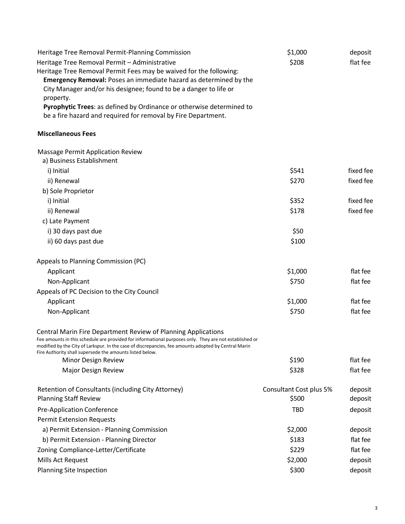| Heritage Tree Removal Permit-Planning Commission                                                                                                                                                                                                                                                                                            | \$1,000                 | deposit   |
|---------------------------------------------------------------------------------------------------------------------------------------------------------------------------------------------------------------------------------------------------------------------------------------------------------------------------------------------|-------------------------|-----------|
| Heritage Tree Removal Permit - Administrative                                                                                                                                                                                                                                                                                               | \$208                   | flat fee  |
| Heritage Tree Removal Permit Fees may be waived for the following:                                                                                                                                                                                                                                                                          |                         |           |
| <b>Emergency Removal:</b> Poses an immediate hazard as determined by the                                                                                                                                                                                                                                                                    |                         |           |
| City Manager and/or his designee; found to be a danger to life or                                                                                                                                                                                                                                                                           |                         |           |
| property.                                                                                                                                                                                                                                                                                                                                   |                         |           |
| Pyrophytic Trees: as defined by Ordinance or otherwise determined to<br>be a fire hazard and required for removal by Fire Department.                                                                                                                                                                                                       |                         |           |
| <b>Miscellaneous Fees</b>                                                                                                                                                                                                                                                                                                                   |                         |           |
| <b>Massage Permit Application Review</b>                                                                                                                                                                                                                                                                                                    |                         |           |
| a) Business Establishment                                                                                                                                                                                                                                                                                                                   |                         |           |
| i) Initial                                                                                                                                                                                                                                                                                                                                  | \$541                   | fixed fee |
| ii) Renewal                                                                                                                                                                                                                                                                                                                                 | \$270                   | fixed fee |
| b) Sole Proprietor                                                                                                                                                                                                                                                                                                                          |                         |           |
| i) Initial                                                                                                                                                                                                                                                                                                                                  | \$352                   | fixed fee |
| ii) Renewal                                                                                                                                                                                                                                                                                                                                 | \$178                   | fixed fee |
| c) Late Payment                                                                                                                                                                                                                                                                                                                             |                         |           |
| i) 30 days past due                                                                                                                                                                                                                                                                                                                         | \$50                    |           |
| ii) 60 days past due                                                                                                                                                                                                                                                                                                                        | \$100                   |           |
| Appeals to Planning Commission (PC)                                                                                                                                                                                                                                                                                                         |                         |           |
| Applicant                                                                                                                                                                                                                                                                                                                                   | \$1,000                 | flat fee  |
| Non-Applicant                                                                                                                                                                                                                                                                                                                               | \$750                   | flat fee  |
| Appeals of PC Decision to the City Council                                                                                                                                                                                                                                                                                                  |                         |           |
| Applicant                                                                                                                                                                                                                                                                                                                                   | \$1,000                 | flat fee  |
| Non-Applicant                                                                                                                                                                                                                                                                                                                               | \$750                   | flat fee  |
| Central Marin Fire Department Review of Planning Applications<br>Fee amounts in this schedule are provided for informational purposes only. They are not established or<br>modified by the City of Larkspur. In the case of discrepancies, fee amounts adopted by Central Marin<br>Fire Authority shall supersede the amounts listed below. |                         |           |
| Minor Design Review                                                                                                                                                                                                                                                                                                                         | \$190                   | flat fee  |
| Major Design Review                                                                                                                                                                                                                                                                                                                         | \$328                   | flat fee  |
| Retention of Consultants (including City Attorney)                                                                                                                                                                                                                                                                                          | Consultant Cost plus 5% | deposit   |
| <b>Planning Staff Review</b>                                                                                                                                                                                                                                                                                                                | \$500                   | deposit   |
| <b>Pre-Application Conference</b>                                                                                                                                                                                                                                                                                                           | <b>TBD</b>              | deposit   |
| <b>Permit Extension Requests</b>                                                                                                                                                                                                                                                                                                            |                         |           |
| a) Permit Extension - Planning Commission                                                                                                                                                                                                                                                                                                   | \$2,000                 | deposit   |
| b) Permit Extension - Planning Director                                                                                                                                                                                                                                                                                                     | \$183                   | flat fee  |
| Zoning Compliance-Letter/Certificate                                                                                                                                                                                                                                                                                                        | \$229                   | flat fee  |
| Mills Act Request                                                                                                                                                                                                                                                                                                                           | \$2,000                 | deposit   |
| Planning Site Inspection                                                                                                                                                                                                                                                                                                                    | \$300                   | deposit   |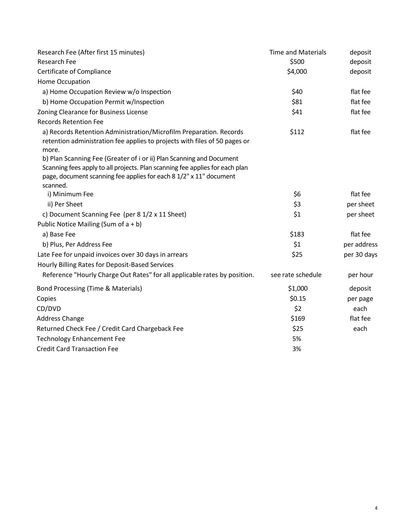| Research Fee (After first 15 minutes)                                                                                                                                                                                                  | <b>Time and Materials</b> | deposit     |
|----------------------------------------------------------------------------------------------------------------------------------------------------------------------------------------------------------------------------------------|---------------------------|-------------|
| Research Fee                                                                                                                                                                                                                           | \$500                     | deposit     |
| Certificate of Compliance                                                                                                                                                                                                              | \$4,000                   | deposit     |
| Home Occupation                                                                                                                                                                                                                        |                           |             |
| a) Home Occupation Review w/o Inspection                                                                                                                                                                                               | \$40                      | flat fee    |
| b) Home Occupation Permit w/Inspection                                                                                                                                                                                                 | \$81                      | flat fee    |
| Zoning Clearance for Business License                                                                                                                                                                                                  | \$41                      | flat fee    |
| <b>Records Retention Fee</b>                                                                                                                                                                                                           |                           |             |
| a) Records Retention Administration/Microfilm Preparation. Records<br>retention administration fee applies to projects with files of 50 pages or<br>more.                                                                              | \$112                     | flat fee    |
| b) Plan Scanning Fee (Greater of i or ii) Plan Scanning and Document<br>Scanning fees apply to all projects. Plan scanning fee applies for each plan<br>page, document scanning fee applies for each 8 1/2" x 11" document<br>scanned. |                           |             |
| i) Minimum Fee                                                                                                                                                                                                                         | \$6                       | flat fee    |
| ii) Per Sheet                                                                                                                                                                                                                          | \$3                       | per sheet   |
| c) Document Scanning Fee (per 8 1/2 x 11 Sheet)                                                                                                                                                                                        | \$1                       | per sheet   |
| Public Notice Mailing (Sum of $a + b$ )                                                                                                                                                                                                |                           |             |
| a) Base Fee                                                                                                                                                                                                                            | \$183                     | flat fee    |
| b) Plus, Per Address Fee                                                                                                                                                                                                               | \$1                       | per address |
| Late Fee for unpaid invoices over 30 days in arrears                                                                                                                                                                                   | \$25                      | per 30 days |
| Hourly Billing Rates for Deposit-Based Services                                                                                                                                                                                        |                           |             |
| Reference "Hourly Charge Out Rates" for all applicable rates by position.                                                                                                                                                              | see rate schedule         | per hour    |
| Bond Processing (Time & Materials)                                                                                                                                                                                                     | \$1,000                   | deposit     |
| Copies                                                                                                                                                                                                                                 | \$0.15                    | per page    |
| CD/DVD                                                                                                                                                                                                                                 | \$2                       | each        |
| <b>Address Change</b>                                                                                                                                                                                                                  | \$169                     | flat fee    |
| Returned Check Fee / Credit Card Chargeback Fee                                                                                                                                                                                        | \$25                      | each        |
| <b>Technology Enhancement Fee</b>                                                                                                                                                                                                      | 5%                        |             |
| <b>Credit Card Transaction Fee</b>                                                                                                                                                                                                     | 3%                        |             |